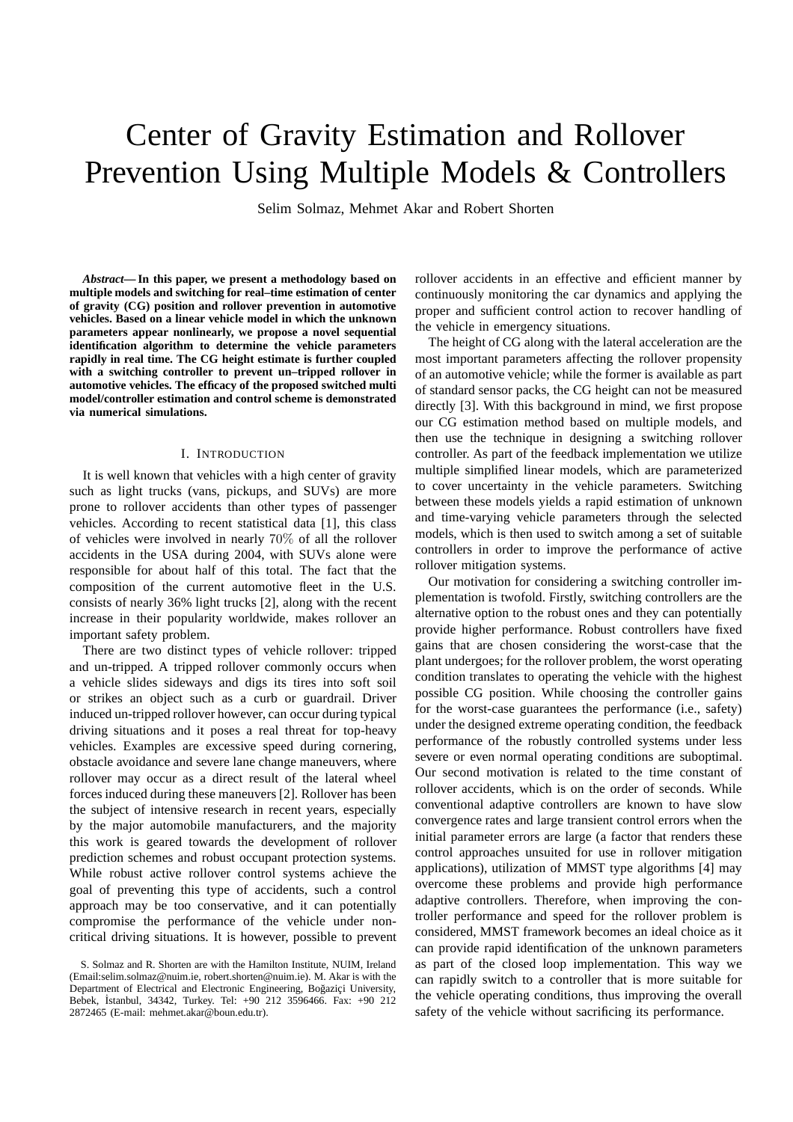# Center of Gravity Estimation and Rollover Prevention Using Multiple Models & Controllers

Selim Solmaz, Mehmet Akar and Robert Shorten

*Abstract***— In this paper, we present a methodology based on multiple models and switching for real–time estimation of center of gravity (CG) position and rollover prevention in automotive vehicles. Based on a linear vehicle model in which the unknown parameters appear nonlinearly, we propose a novel sequential identification algorithm to determine the vehicle parameters rapidly in real time. The CG height estimate is further coupled with a switching controller to prevent un–tripped rollover in automotive vehicles. The efficacy of the proposed switched multi model/controller estimation and control scheme is demonstrated via numerical simulations.**

# I. INTRODUCTION

It is well known that vehicles with a high center of gravity such as light trucks (vans, pickups, and SUVs) are more prone to rollover accidents than other types of passenger vehicles. According to recent statistical data [1], this class of vehicles were involved in nearly 70% of all the rollover accidents in the USA during 2004, with SUVs alone were responsible for about half of this total. The fact that the composition of the current automotive fleet in the U.S. consists of nearly 36% light trucks [2], along with the recent increase in their popularity worldwide, makes rollover an important safety problem.

There are two distinct types of vehicle rollover: tripped and un-tripped. A tripped rollover commonly occurs when a vehicle slides sideways and digs its tires into soft soil or strikes an object such as a curb or guardrail. Driver induced un-tripped rollover however, can occur during typical driving situations and it poses a real threat for top-heavy vehicles. Examples are excessive speed during cornering, obstacle avoidance and severe lane change maneuvers, where rollover may occur as a direct result of the lateral wheel forces induced during these maneuvers [2]. Rollover has been the subject of intensive research in recent years, especially by the major automobile manufacturers, and the majority this work is geared towards the development of rollover prediction schemes and robust occupant protection systems. While robust active rollover control systems achieve the goal of preventing this type of accidents, such a control approach may be too conservative, and it can potentially compromise the performance of the vehicle under noncritical driving situations. It is however, possible to prevent rollover accidents in an effective and efficient manner by continuously monitoring the car dynamics and applying the proper and sufficient control action to recover handling of the vehicle in emergency situations.

The height of CG along with the lateral acceleration are the most important parameters affecting the rollover propensity of an automotive vehicle; while the former is available as part of standard sensor packs, the CG height can not be measured directly [3]. With this background in mind, we first propose our CG estimation method based on multiple models, and then use the technique in designing a switching rollover controller. As part of the feedback implementation we utilize multiple simplified linear models, which are parameterized to cover uncertainty in the vehicle parameters. Switching between these models yields a rapid estimation of unknown and time-varying vehicle parameters through the selected models, which is then used to switch among a set of suitable controllers in order to improve the performance of active rollover mitigation systems.

Our motivation for considering a switching controller implementation is twofold. Firstly, switching controllers are the alternative option to the robust ones and they can potentially provide higher performance. Robust controllers have fixed gains that are chosen considering the worst-case that the plant undergoes; for the rollover problem, the worst operating condition translates to operating the vehicle with the highest possible CG position. While choosing the controller gains for the worst-case guarantees the performance (i.e., safety) under the designed extreme operating condition, the feedback performance of the robustly controlled systems under less severe or even normal operating conditions are suboptimal. Our second motivation is related to the time constant of rollover accidents, which is on the order of seconds. While conventional adaptive controllers are known to have slow convergence rates and large transient control errors when the initial parameter errors are large (a factor that renders these control approaches unsuited for use in rollover mitigation applications), utilization of MMST type algorithms [4] may overcome these problems and provide high performance adaptive controllers. Therefore, when improving the controller performance and speed for the rollover problem is considered, MMST framework becomes an ideal choice as it can provide rapid identification of the unknown parameters as part of the closed loop implementation. This way we can rapidly switch to a controller that is more suitable for the vehicle operating conditions, thus improving the overall safety of the vehicle without sacrificing its performance.

S. Solmaz and R. Shorten are with the Hamilton Institute, NUIM, Ireland (Email:selim.solmaz@nuim.ie, robert.shorten@nuim.ie). M. Akar is with the Department of Electrical and Electronic Engineering, Boğaziçi University, Bebek, İstanbul, 34342, Turkey. Tel: +90 212 3596466. Fax: +90 212 2872465 (E-mail: mehmet.akar@boun.edu.tr).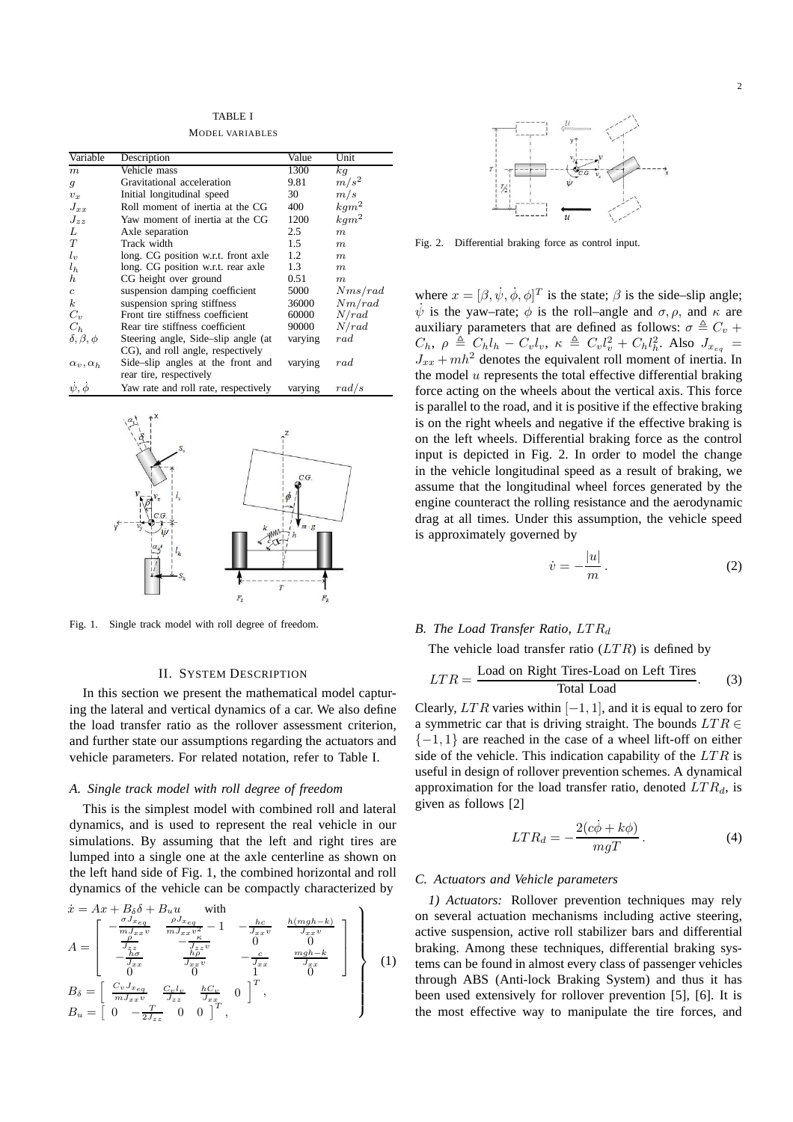TARI E I MODEL VARIABLES

| Variable              | Description                          | Value   | Unit             |
|-----------------------|--------------------------------------|---------|------------------|
| m                     | Vehicle mass                         | 1300    | kq               |
| $\mathfrak{g}$        | Gravitational acceleration           | 9.81    | $m/s^2$          |
| $v_x$                 | Initial longitudinal speed           | 30      | m/s              |
| $J_{xx}$              | Roll moment of inertia at the CG     | 400     | $kqm^2$          |
| $J_{zz}$              | Yaw moment of inertia at the CG      | 1200    | $kqm^2$          |
| L                     | Axle separation                      | 2.5     | m                |
| T                     | Track width                          | 1.5     | $\boldsymbol{m}$ |
| $l_{\nu}$             | long. CG position w.r.t. front axle  | 1.2     | m                |
| $l_h$                 | long. CG position w.r.t. rear axle   | 1.3     | m                |
| $\boldsymbol{h}$      | CG height over ground                | 0.51    | m                |
| $\epsilon$            | suspension damping coefficient       | 5000    | Nms/rad          |
| $\kappa$              | suspension spring stiffness          | 36000   | Nm/rad           |
| $C_v$                 | Front tire stiffness coefficient     | 60000   | N/rad            |
| $C_h$                 | Rear tire stiffness coefficient      | 90000   | N/rad            |
| $\delta, \beta, \phi$ | Steering angle, Side-slip angle (at  | varying | rad              |
|                       | CG), and roll angle, respectively    |         |                  |
| $\alpha_v, \alpha_h$  | Side-slip angles at the front and    | varying | rad              |
|                       | rear tire, respectively              |         |                  |
| $\psi, \phi$          | Yaw rate and roll rate, respectively | varying | rad/s            |



Fig. 1. Single track model with roll degree of freedom.

# II. SYSTEM DESCRIPTION

In this section we present the mathematical model capturing the lateral and vertical dynamics of a car. We also define the load transfer ratio as the rollover assessment criterion, and further state our assumptions regarding the actuators and vehicle parameters. For related notation, refer to Table I.

## *A. Single track model with roll degree of freedom*

This is the simplest model with combined roll and lateral dynamics, and is used to represent the real vehicle in our simulations. By assuming that the left and right tires are lumped into a single one at the axle centerline as shown on the left hand side of Fig. 1, the combined horizontal and roll dynamics of the vehicle can be compactly characterized by

$$
\begin{aligned}\n\dot{x} &= Ax + B_{\delta}\delta + B_{u}u \quad \text{with} \\
A &= \begin{bmatrix}\n-\frac{\sigma J_{x_{eq}}}{m J_{xx}v} & \frac{\rho J_{x_{eq}}}{m J_{xx}v} - 1 & -\frac{hc}{J_{xx}v} & \frac{h(mgh - k)}{J_{xx}v} \\
\frac{\sigma}{J_{xx}} & -\frac{\sigma}{J_{zz}} & 0 & 0 \\
-\frac{hc}{J_{xx}} & \frac{\sigma}{J_{xx}v} & -\frac{c}{J_{xx}} & \frac{mgh - k}{J_{xx}} \\
0 & 0 & 1 & 0\n\end{bmatrix} \\
B_{\delta} &= \begin{bmatrix}\n\frac{C_{v}J_{x_{eq}}}{m J_{xx}v} & \frac{C_{v}l_{v}}{J_{zz}} & \frac{hc}{J_{xx}} & 0\n\end{bmatrix}^{T}, \\
B_{u} &= \begin{bmatrix}\n0 & -\frac{T}{2J_{zz}} & 0 & 0\n\end{bmatrix}^{T},\n\end{aligned}
$$
\n(1)



Fig. 2. Differential braking force as control input.

where  $x = [\beta, \dot{\psi}, \dot{\phi}, \phi]^T$  is the state;  $\beta$  is the side-slip angle;  $\dot{\psi}$  is the yaw-rate;  $\dot{\phi}$  is the roll–angle and  $\sigma$ ,  $\rho$ , and  $\kappa$  are auxiliary parameters that are defined as follows:  $\sigma \triangleq C_v +$  $C_h$ ,  $\rho \triangleq C_h l_h - C_v l_v$ ,  $\kappa \triangleq C_v l_v^2 + C_h l_h^2$ . Also  $J_{x_{eq}} =$  $J_{xx} + mh^2$  denotes the equivalent roll moment of inertia. In the model  $u$  represents the total effective differential braking force acting on the wheels about the vertical axis. This force is parallel to the road, and it is positive if the effective braking is on the right wheels and negative if the effective braking is on the left wheels. Differential braking force as the control input is depicted in Fig. 2. In order to model the change in the vehicle longitudinal speed as a result of braking, we assume that the longitudinal wheel forces generated by the engine counteract the rolling resistance and the aerodynamic drag at all times. Under this assumption, the vehicle speed is approximately governed by

$$
\dot{v} = -\frac{|u|}{m}.\tag{2}
$$

#### *B. The Load Transfer Ratio, LTR<sub>d</sub>*

The vehicle load transfer ratio  $(LTR)$  is defined by

$$
LTR = \frac{\text{Load on Right Tires-Load on Left Tires}}{\text{Total Load}}.
$$
 (3)

Clearly,  $LTR$  varies within  $[-1, 1]$ , and it is equal to zero for a symmetric car that is driving straight. The bounds  $LTR \in$  $\{-1, 1\}$  are reached in the case of a wheel lift-off on either side of the vehicle. This indication capability of the  $LTR$  is useful in design of rollover prevention schemes. A dynamical approximation for the load transfer ratio, denoted  $LTR_d$ , is given as follows [2]

$$
LTR_d = -\frac{2(c\dot{\phi} + k\phi)}{mgT}.
$$
 (4)

## *C. Actuators and Vehicle parameters*

*1) Actuators:* Rollover prevention techniques may rely on several actuation mechanisms including active steering, active suspension, active roll stabilizer bars and differential braking. Among these techniques, differential braking systems can be found in almost every class of passenger vehicles through ABS (Anti-lock Braking System) and thus it has been used extensively for rollover prevention [5], [6]. It is the most effective way to manipulate the tire forces, and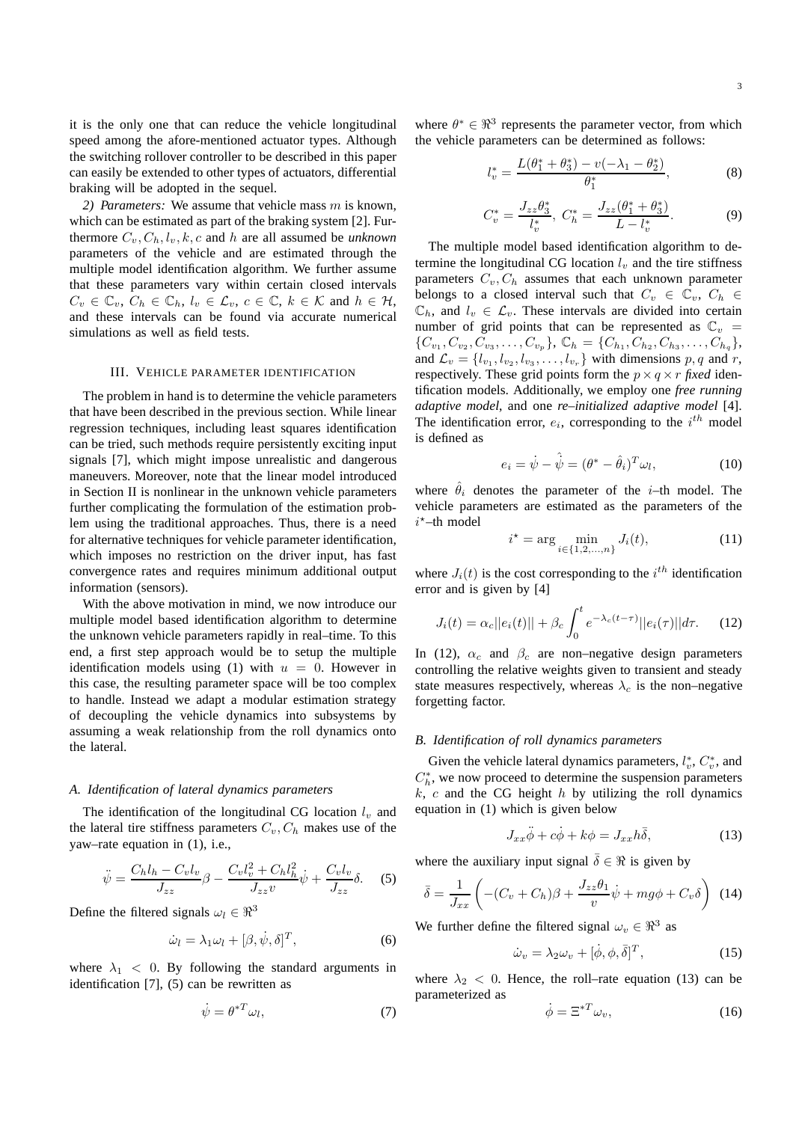it is the only one that can reduce the vehicle longitudinal speed among the afore-mentioned actuator types. Although the switching rollover controller to be described in this paper can easily be extended to other types of actuators, differential braking will be adopted in the sequel.

*2) Parameters:* We assume that vehicle mass m is known, which can be estimated as part of the braking system [2]. Furthermore  $C_v, C_h, l_v, k, c$  and h are all assumed be *unknown* parameters of the vehicle and are estimated through the multiple model identification algorithm. We further assume that these parameters vary within certain closed intervals  $C_v \in \mathbb{C}_v, C_h \in \mathbb{C}_h, l_v \in \mathcal{L}_v, c \in \mathbb{C}, k \in \mathcal{K}$  and  $h \in \mathcal{H}$ , and these intervals can be found via accurate numerical simulations as well as field tests.

#### III. VEHICLE PARAMETER IDENTIFICATION

The problem in hand is to determine the vehicle parameters that have been described in the previous section. While linear regression techniques, including least squares identification can be tried, such methods require persistently exciting input signals [7], which might impose unrealistic and dangerous maneuvers. Moreover, note that the linear model introduced in Section II is nonlinear in the unknown vehicle parameters further complicating the formulation of the estimation problem using the traditional approaches. Thus, there is a need for alternative techniques for vehicle parameter identification, which imposes no restriction on the driver input, has fast convergence rates and requires minimum additional output information (sensors).

With the above motivation in mind, we now introduce our multiple model based identification algorithm to determine the unknown vehicle parameters rapidly in real–time. To this end, a first step approach would be to setup the multiple identification models using (1) with  $u = 0$ . However in this case, the resulting parameter space will be too complex to handle. Instead we adapt a modular estimation strategy of decoupling the vehicle dynamics into subsystems by assuming a weak relationship from the roll dynamics onto the lateral.

#### *A. Identification of lateral dynamics parameters*

The identification of the longitudinal CG location  $l_v$  and the lateral tire stiffness parameters  $C_v$ ,  $C_h$  makes use of the yaw–rate equation in (1), i.e.,

$$
\ddot{\psi} = \frac{C_h l_h - C_v l_v}{J_{zz}} \beta - \frac{C_v l_v^2 + C_h l_h^2}{J_{zz} v} \dot{\psi} + \frac{C_v l_v}{J_{zz}} \delta. \tag{5}
$$

Define the filtered signals  $\omega_l \in \mathbb{R}^3$ 

$$
\dot{\omega}_l = \lambda_1 \omega_l + [\beta, \dot{\psi}, \delta]^T, \tag{6}
$$

where  $\lambda_1$  < 0. By following the standard arguments in identification [7], (5) can be rewritten as

$$
\dot{\psi} = \theta^{*T} \omega_l,\tag{7}
$$

where  $\theta^* \in \mathbb{R}^3$  represents the parameter vector, from which the vehicle parameters can be determined as follows:

l

 $\overline{\mathbf{C}}$ 

$$
v^* = \frac{L(\theta_1^* + \theta_3^*) - v(-\lambda_1 - \theta_2^*)}{\theta_1^*},\tag{8}
$$

$$
C_v^* = \frac{J_{zz}\theta_3^*}{l_v^*}, \ C_h^* = \frac{J_{zz}(\theta_1^* + \theta_3^*)}{L - l_v^*}.
$$
 (9)

The multiple model based identification algorithm to determine the longitudinal CG location  $l<sub>v</sub>$  and the tire stiffness parameters  $C_v$ ,  $C_h$  assumes that each unknown parameter belongs to a closed interval such that  $C_v \in \mathbb{C}_v$ ,  $C_h \in$  $\mathbb{C}_h$ , and  $l_v \in \mathcal{L}_v$ . These intervals are divided into certain number of grid points that can be represented as  $\mathbb{C}_v$  =  ${C_{v_1}, C_{v_2}, C_{v_3}, \ldots, C_{v_p}}$ ,  $C_h = {C_{h_1}, C_{h_2}, C_{h_3}, \ldots, C_{h_q}}$ , and  $\mathcal{L}_v = \{l_{v_1}, l_{v_2}, l_{v_3}, \dots, l_{v_r}\}\$  with dimensions  $p, q$  and  $r$ , respectively. These grid points form the  $p \times q \times r$  *fixed* identification models. Additionally, we employ one *free running adaptive model*, and one *re–initialized adaptive model* [4]. The identification error,  $e_i$ , corresponding to the  $i^{th}$  model is defined as

$$
e_i = \dot{\psi} - \hat{\dot{\psi}} = (\theta^* - \hat{\theta}_i)^T \omega_l, \qquad (10)
$$

where  $\hat{\theta}_i$  denotes the parameter of the *i*-th model. The vehicle parameters are estimated as the parameters of the  $i^*$ -th model

$$
i^* = \arg\min_{i \in \{1, 2, ..., n\}} J_i(t),\tag{11}
$$

where  $J_i(t)$  is the cost corresponding to the  $i^{th}$  identification error and is given by [4]

$$
J_i(t) = \alpha_c ||e_i(t)|| + \beta_c \int_0^t e^{-\lambda_c(t-\tau)} ||e_i(\tau)|| d\tau.
$$
 (12)

In (12),  $\alpha_c$  and  $\beta_c$  are non–negative design parameters controlling the relative weights given to transient and steady state measures respectively, whereas  $\lambda_c$  is the non–negative forgetting factor.

#### *B. Identification of roll dynamics parameters*

Given the vehicle lateral dynamics parameters,  $l_v^*, C_v^*$ , and  $C_h^*$ , we now proceed to determine the suspension parameters  $k, c$  and the CG height  $h$  by utilizing the roll dynamics equation in (1) which is given below

$$
J_{xx}\ddot{\phi} + c\dot{\phi} + k\phi = J_{xx}h\bar{\delta},\qquad(13)
$$

where the auxiliary input signal  $\overline{\delta} \in \Re$  is given by

$$
\bar{\delta} = \frac{1}{J_{xx}} \left( -(C_v + C_h)\beta + \frac{J_{zz}\theta_1}{v}\dot{\psi} + mg\phi + C_v\delta \right) \tag{14}
$$

We further define the filtered signal  $\omega_v \in \mathbb{R}^3$  as

$$
\dot{\omega}_v = \lambda_2 \omega_v + [\dot{\phi}, \phi, \bar{\delta}]^T,\tag{15}
$$

where  $\lambda_2$  < 0. Hence, the roll–rate equation (13) can be parameterized as

$$
\dot{\phi} = \Xi^{*T}\omega_v,\tag{16}
$$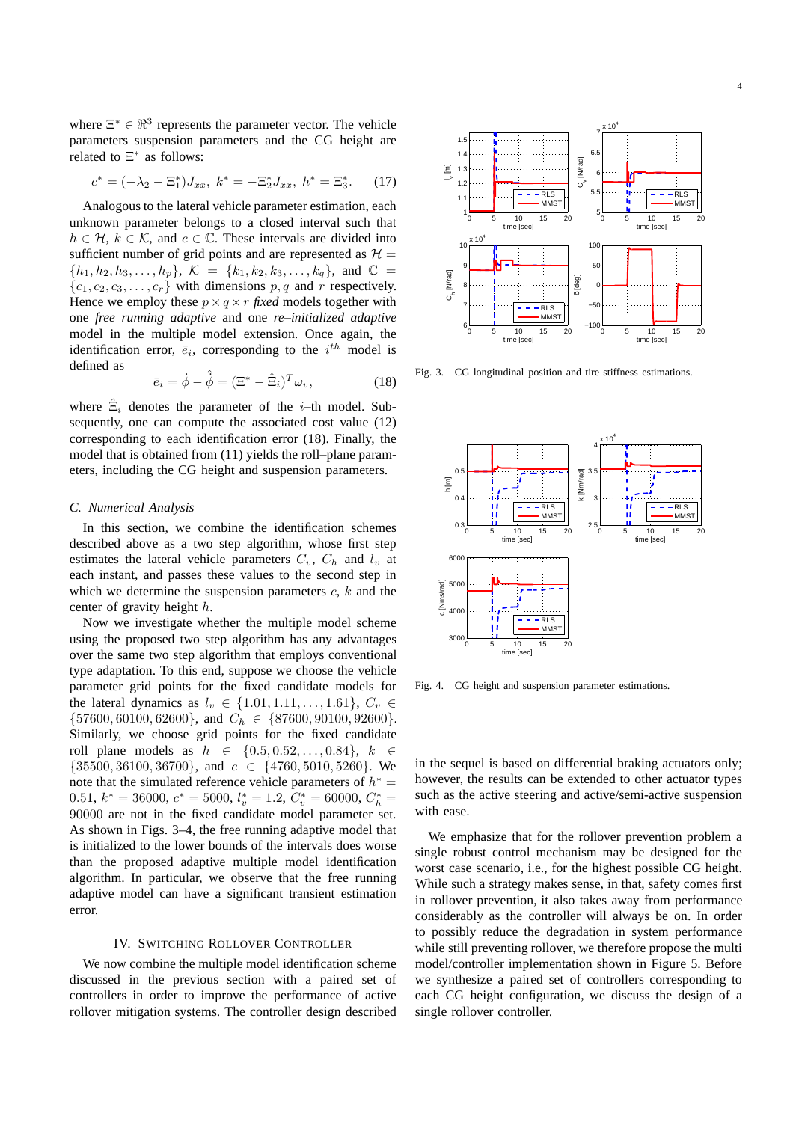where  $\Xi^* \in \mathbb{R}^3$  represents the parameter vector. The vehicle parameters suspension parameters and the CG height are related to  $\Xi^*$  as follows:

$$
c^* = (-\lambda_2 - \Xi_1^*) J_{xx}, \ k^* = -\Xi_2^* J_{xx}, \ h^* = \Xi_3^*.
$$
 (17)

Analogous to the lateral vehicle parameter estimation, each unknown parameter belongs to a closed interval such that  $h \in \mathcal{H}, k \in \mathcal{K}$ , and  $c \in \mathbb{C}$ . These intervals are divided into sufficient number of grid points and are represented as  $\mathcal{H} =$  $\{h_1, h_2, h_3, \ldots, h_p\}, \; \mathcal{K} = \{k_1, k_2, k_3, \ldots, k_q\}, \; \text{and} \; \; \mathbb{C} =$  ${c_1, c_2, c_3, \ldots, c_r}$  with dimensions p, q and r respectively. Hence we employ these  $p \times q \times r$  *fixed* models together with one *free running adaptive* and one *re–initialized adaptive* model in the multiple model extension. Once again, the identification error,  $\bar{e}_i$ , corresponding to the  $i^{th}$  model is defined as

$$
\bar{e}_i = \dot{\phi} - \hat{\dot{\phi}} = (\Xi^* - \hat{\Xi}_i)^T \omega_v, \tag{18}
$$

where  $\hat{\Xi}_i$  denotes the parameter of the *i*-th model. Subsequently, one can compute the associated cost value (12) corresponding to each identification error (18). Finally, the model that is obtained from (11) yields the roll–plane parameters, including the CG height and suspension parameters.

#### *C. Numerical Analysis*

In this section, we combine the identification schemes described above as a two step algorithm, whose first step estimates the lateral vehicle parameters  $C_v$ ,  $C_h$  and  $l_v$  at each instant, and passes these values to the second step in which we determine the suspension parameters  $c, k$  and the center of gravity height h.

Now we investigate whether the multiple model scheme using the proposed two step algorithm has any advantages over the same two step algorithm that employs conventional type adaptation. To this end, suppose we choose the vehicle parameter grid points for the fixed candidate models for the lateral dynamics as  $l_v \in \{1.01, 1.11, ..., 1.61\}, C_v \in$  $\{57600, 60100, 62600\}$ , and  $C_h \in \{87600, 90100, 92600\}$ . Similarly, we choose grid points for the fixed candidate roll plane models as  $h \in \{0.5, 0.52, ..., 0.84\}, k \in$  $\{35500, 36100, 36700\}$ , and  $c \in \{4760, 5010, 5260\}$ . We note that the simulated reference vehicle parameters of  $h^* =$ 0.51,  $k^* = 36000$ ,  $c^* = 5000$ ,  $l_v^* = 1.2$ ,  $C_v^* = 60000$ ,  $C_h^* =$ 90000 are not in the fixed candidate model parameter set. As shown in Figs. 3–4, the free running adaptive model that is initialized to the lower bounds of the intervals does worse than the proposed adaptive multiple model identification algorithm. In particular, we observe that the free running adaptive model can have a significant transient estimation error.

# IV. SWITCHING ROLLOVER CONTROLLER

We now combine the multiple model identification scheme discussed in the previous section with a paired set of controllers in order to improve the performance of active rollover mitigation systems. The controller design described



Fig. 3. CG longitudinal position and tire stiffness estimations.



Fig. 4. CG height and suspension parameter estimations.

in the sequel is based on differential braking actuators only; however, the results can be extended to other actuator types such as the active steering and active/semi-active suspension with ease.

We emphasize that for the rollover prevention problem a single robust control mechanism may be designed for the worst case scenario, i.e., for the highest possible CG height. While such a strategy makes sense, in that, safety comes first in rollover prevention, it also takes away from performance considerably as the controller will always be on. In order to possibly reduce the degradation in system performance while still preventing rollover, we therefore propose the multi model/controller implementation shown in Figure 5. Before we synthesize a paired set of controllers corresponding to each CG height configuration, we discuss the design of a single rollover controller.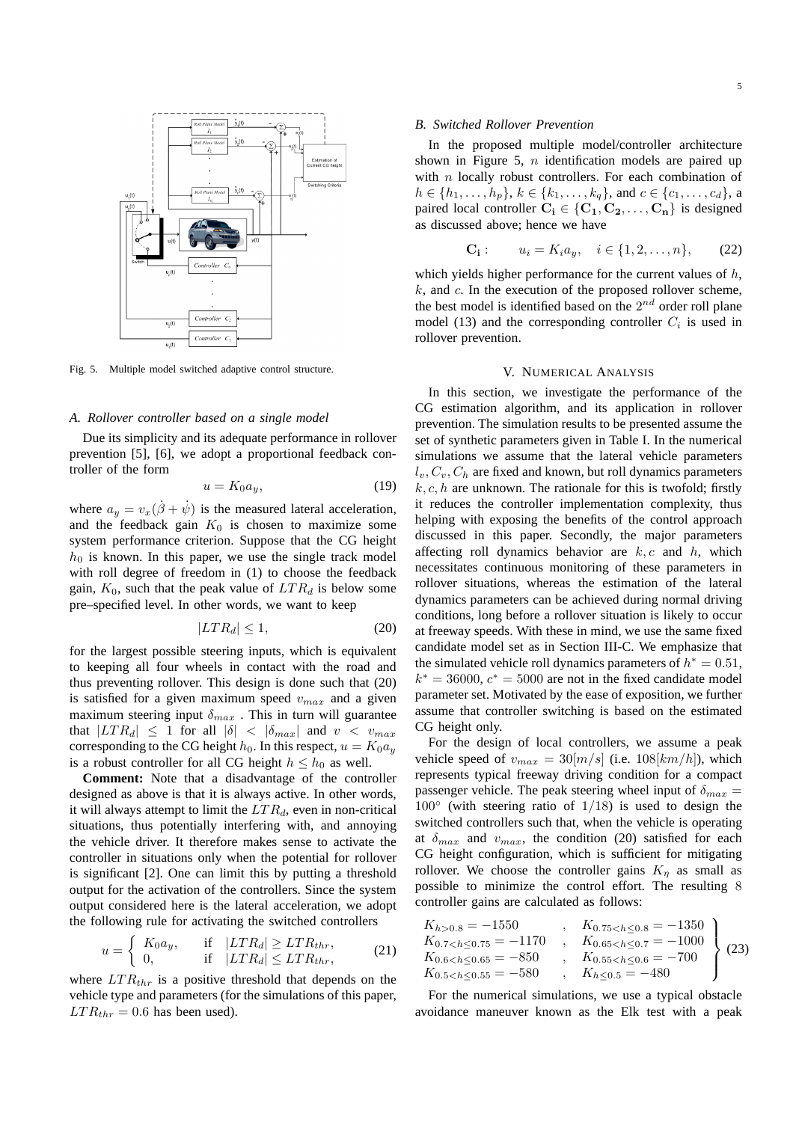

Fig. 5. Multiple model switched adaptive control structure.

#### *A. Rollover controller based on a single model*

Due its simplicity and its adequate performance in rollover prevention [5], [6], we adopt a proportional feedback controller of the form

$$
u = K_0 a_y,\tag{19}
$$

where  $a_y = v_x(\dot{\beta} + \dot{\psi})$  is the measured lateral acceleration, and the feedback gain  $K_0$  is chosen to maximize some system performance criterion. Suppose that the CG height  $h_0$  is known. In this paper, we use the single track model with roll degree of freedom in (1) to choose the feedback gain,  $K_0$ , such that the peak value of  $LTR_d$  is below some pre–specified level. In other words, we want to keep

$$
|LTR_d| \le 1,\tag{20}
$$

for the largest possible steering inputs, which is equivalent to keeping all four wheels in contact with the road and thus preventing rollover. This design is done such that (20) is satisfied for a given maximum speed  $v_{max}$  and a given maximum steering input  $\delta_{max}$ . This in turn will guarantee that  $|LTR_d| \leq 1$  for all  $|\delta| < |\delta_{max}|$  and  $v < v_{max}$ corresponding to the CG height  $h_0$ . In this respect,  $u = K_0 a_y$ is a robust controller for all CG height  $h \leq h_0$  as well.

**Comment:** Note that a disadvantage of the controller designed as above is that it is always active. In other words, it will always attempt to limit the  $LTR_d$ , even in non-critical situations, thus potentially interfering with, and annoying the vehicle driver. It therefore makes sense to activate the controller in situations only when the potential for rollover is significant [2]. One can limit this by putting a threshold output for the activation of the controllers. Since the system output considered here is the lateral acceleration, we adopt the following rule for activating the switched controllers

$$
u = \begin{cases} K_0 a_y, & \text{if } |LTR_d| \ge LTR_{thr}, \\ 0, & \text{if } |LTR_d| \le LTR_{thr}, \end{cases} \tag{21}
$$

where  $LTR_{thr}$  is a positive threshold that depends on the vehicle type and parameters (for the simulations of this paper,  $LTR_{thr} = 0.6$  has been used).

#### *B. Switched Rollover Prevention*

In the proposed multiple model/controller architecture shown in Figure 5,  $n$  identification models are paired up with  $n$  locally robust controllers. For each combination of  $h \in \{h_1, \ldots, h_p\}, k \in \{k_1, \ldots, k_q\}, \text{ and } c \in \{c_1, \ldots, c_d\}, \text{ a}$ paired local controller  $C_i \in \{C_1, C_2, \ldots, C_n\}$  is designed as discussed above; hence we have

$$
C_i: \t u_i = K_i a_y, \t i \in \{1, 2, ..., n\}, \t (22)
$$

which yields higher performance for the current values of  $h$ ,  $k$ , and  $c$ . In the execution of the proposed rollover scheme, the best model is identified based on the  $2^{nd}$  order roll plane model (13) and the corresponding controller  $C_i$  is used in rollover prevention.

# V. NUMERICAL ANALYSIS

In this section, we investigate the performance of the CG estimation algorithm, and its application in rollover prevention. The simulation results to be presented assume the set of synthetic parameters given in Table I. In the numerical simulations we assume that the lateral vehicle parameters  $l_v, C_v, C_h$  are fixed and known, but roll dynamics parameters  $k, c, h$  are unknown. The rationale for this is twofold; firstly it reduces the controller implementation complexity, thus helping with exposing the benefits of the control approach discussed in this paper. Secondly, the major parameters affecting roll dynamics behavior are  $k, c$  and h, which necessitates continuous monitoring of these parameters in rollover situations, whereas the estimation of the lateral dynamics parameters can be achieved during normal driving conditions, long before a rollover situation is likely to occur at freeway speeds. With these in mind, we use the same fixed candidate model set as in Section III-C. We emphasize that the simulated vehicle roll dynamics parameters of  $h^* = 0.51$ ,  $k^* = 36000$ ,  $c^* = 5000$  are not in the fixed candidate model parameter set. Motivated by the ease of exposition, we further assume that controller switching is based on the estimated CG height only.

For the design of local controllers, we assume a peak vehicle speed of  $v_{max} = 30[m/s]$  (i.e.  $108[km/h]$ ), which represents typical freeway driving condition for a compact passenger vehicle. The peak steering wheel input of  $\delta_{max}$  =  $100°$  (with steering ratio of  $1/18$ ) is used to design the switched controllers such that, when the vehicle is operating at  $\delta_{max}$  and  $v_{max}$ , the condition (20) satisfied for each CG height configuration, which is sufficient for mitigating rollover. We choose the controller gains  $K_n$  as small as possible to minimize the control effort. The resulting 8 controller gains are calculated as follows:

$$
K_{h>0.8} = -1550 \t, K_{0.75 < h \le 0.8} = -1350
$$
\n
$$
K_{0.7 < h \le 0.75} = -1170 \t, K_{0.65 < h \le 0.7} = -1000
$$
\n
$$
K_{0.6 < h \le 0.65} = -850 \t, K_{0.55 < h \le 0.6} = -700
$$
\n
$$
K_{0.5 < h \le 0.55} = -580 \t, K_{h \le 0.5} = -480
$$
\n
$$
(23)
$$

For the numerical simulations, we use a typical obstacle avoidance maneuver known as the Elk test with a peak